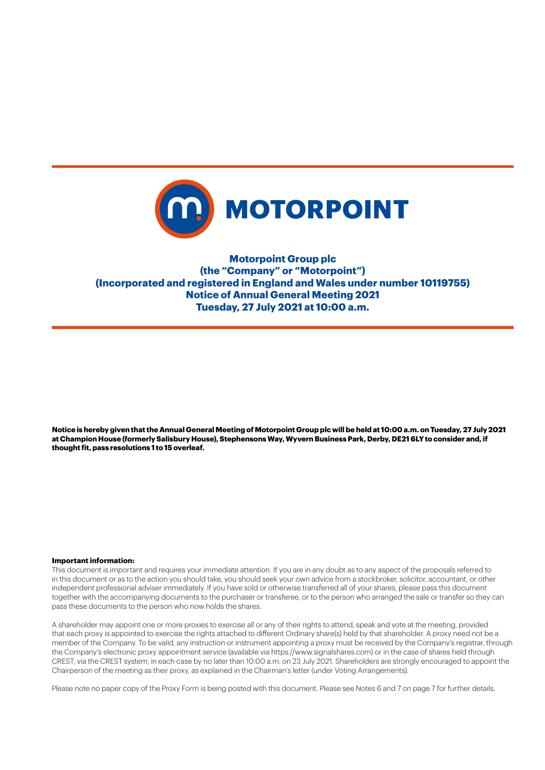

# **Motorpoint Group plc (the "Company" or "Motorpoint") (Incorporated and registered in England and Wales under number 10119755) Notice of Annual General Meeting 2021 Tuesday, 27 July 2021 at 10:00 a.m.**

**Notice is hereby given that the Annual General Meeting of Motorpoint Group plc will be held at 10:00 a.m. on Tuesday, 27 July 2021 at Champion House (formerly Salisbury House), Stephensons Way, Wyvern Business Park, Derby, DE21 6LY to consider and, if thought fit, pass resolutions 1 to 15 overleaf.**

#### **Important information:**

This document is important and requires your immediate attention. If you are in any doubt as to any aspect of the proposals referred to in this document or as to the action you should take, you should seek your own advice from a stockbroker, solicitor, accountant, or other independent professional adviser immediately. If you have sold or otherwise transferred all of your shares, please pass this document together with the accompanying documents to the purchaser or transferee, or to the person who arranged the sale or transfer so they can pass these documents to the person who now holds the shares.

A shareholder may appoint one or more proxies to exercise all or any of their rights to attend, speak and vote at the meeting, provided that each proxy is appointed to exercise the rights attached to different Ordinary share(s) held by that shareholder. A proxy need not be a member of the Company. To be valid, any instruction or instrument appointing a proxy must be received by the Company's registrar, through the Company's electronic proxy appointment service (available via https://www.signalshares.com) or in the case of shares held through CREST, via the CREST system, in each case by no later than 10:00 a.m. on 23 July 2021. Shareholders are strongly encouraged to appoint the Chairperson of the meeting as their proxy, as explained in the Chairman's letter (under Voting Arrangements).

Please note no paper copy of the Proxy Form is being posted with this document. Please see Notes 6 and 7 on page 7 for further details.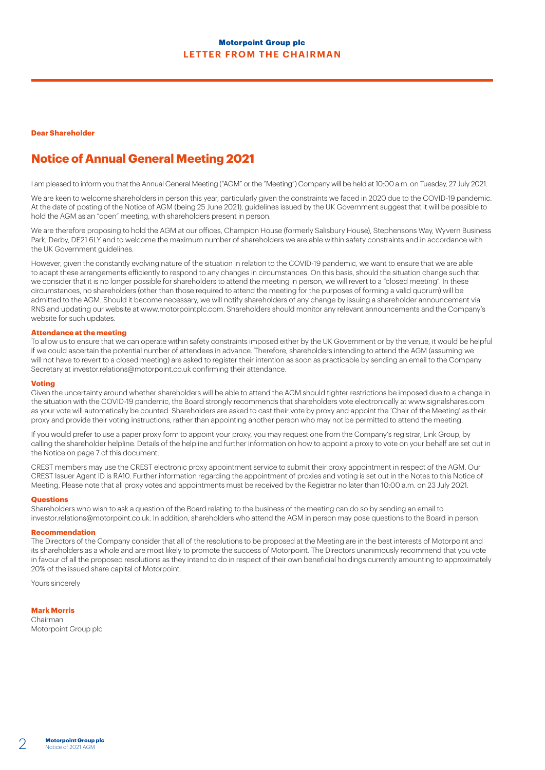# Motorpoint Group plc **LETTER FROM THE CHAIRMAN**

**Dear Shareholder**

# **Notice of Annual General Meeting 2021**

I am pleased to inform you that the Annual General Meeting ("AGM" or the "Meeting") Company will be held at 10:00 a.m. on Tuesday, 27 July 2021.

We are keen to welcome shareholders in person this year, particularly given the constraints we faced in 2020 due to the COVID-19 pandemic. At the date of posting of the Notice of AGM (being 25 June 2021), guidelines issued by the UK Government suggest that it will be possible to hold the AGM as an "open" meeting, with shareholders present in person.

We are therefore proposing to hold the AGM at our offices, Champion House (formerly Salisbury House), Stephensons Way, Wyvern Business Park, Derby, DE21 6LY and to welcome the maximum number of shareholders we are able within safety constraints and in accordance with the UK Government guidelines.

However, given the constantly evolving nature of the situation in relation to the COVID-19 pandemic, we want to ensure that we are able to adapt these arrangements efficiently to respond to any changes in circumstances. On this basis, should the situation change such that we consider that it is no longer possible for shareholders to attend the meeting in person, we will revert to a "closed meeting". In these circumstances, no shareholders (other than those required to attend the meeting for the purposes of forming a valid quorum) will be admitted to the AGM. Should it become necessary, we will notify shareholders of any change by issuing a shareholder announcement via RNS and updating our website at www.motorpointplc.com. Shareholders should monitor any relevant announcements and the Company's website for such updates.

#### **Attendance at the meeting**

To allow us to ensure that we can operate within safety constraints imposed either by the UK Government or by the venue, it would be helpful if we could ascertain the potential number of attendees in advance. Therefore, shareholders intending to attend the AGM (assuming we will not have to revert to a closed meeting) are asked to register their intention as soon as practicable by sending an email to the Company Secretary at investor.relations@motorpoint.co.uk confirming their attendance.

### **Voting**

Given the uncertainty around whether shareholders will be able to attend the AGM should tighter restrictions be imposed due to a change in the situation with the COVID-19 pandemic, the Board strongly recommends that shareholders vote electronically at www.signalshares.com as your vote will automatically be counted. Shareholders are asked to cast their vote by proxy and appoint the 'Chair of the Meeting' as their proxy and provide their voting instructions, rather than appointing another person who may not be permitted to attend the meeting.

If you would prefer to use a paper proxy form to appoint your proxy, you may request one from the Company's registrar, Link Group, by calling the shareholder helpline. Details of the helpline and further information on how to appoint a proxy to vote on your behalf are set out in the Notice on page 7 of this document.

CREST members may use the CREST electronic proxy appointment service to submit their proxy appointment in respect of the AGM. Our CREST Issuer Agent ID is RA10. Further information regarding the appointment of proxies and voting is set out in the Notes to this Notice of Meeting. Please note that all proxy votes and appointments must be received by the Registrar no later than 10:00 a.m. on 23 July 2021.

#### **Questions**

Shareholders who wish to ask a question of the Board relating to the business of the meeting can do so by sending an email to investor.relations@motorpoint.co.uk. In addition, shareholders who attend the AGM in person may pose questions to the Board in person.

#### **Recommendation**

The Directors of the Company consider that all of the resolutions to be proposed at the Meeting are in the best interests of Motorpoint and its shareholders as a whole and are most likely to promote the success of Motorpoint. The Directors unanimously recommend that you vote in favour of all the proposed resolutions as they intend to do in respect of their own beneficial holdings currently amounting to approximately 20% of the issued share capital of Motorpoint.

Yours sincerely

#### **Mark Morris**

Chairman Motorpoint Group plc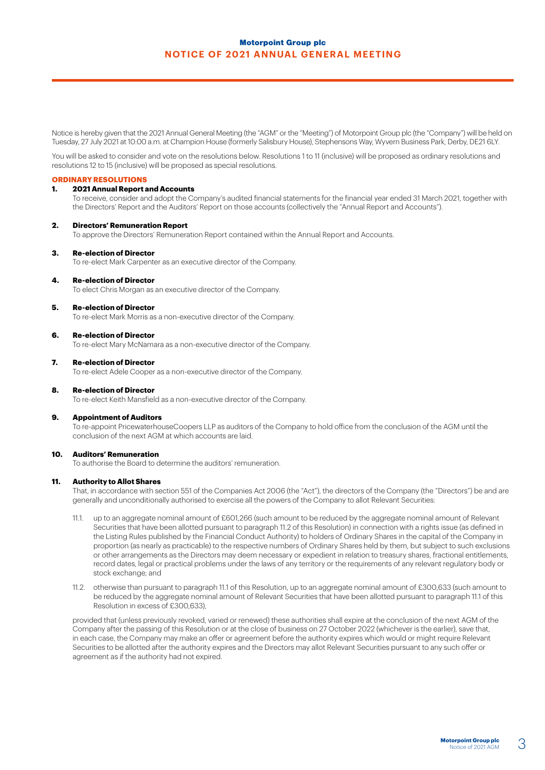# Motorpoint Group plc **NOTICE OF 2021 ANNUAL GENERAL MEETING**

Notice is hereby given that the 2021 Annual General Meeting (the "AGM" or the "Meeting") of Motorpoint Group plc (the "Company") will be held on Tuesday, 27 July 2021 at 10:00 a.m. at Champion House (formerly Salisbury House), Stephensons Way, Wyvern Business Park, Derby, DE21 6LY.

You will be asked to consider and vote on the resolutions below. Resolutions 1 to 11 (inclusive) will be proposed as ordinary resolutions and resolutions 12 to 15 (inclusive) will be proposed as special resolutions.

### **ORDINARY RESOLUTIONS**

#### **1. 2021 Annual Report and Accounts**

To receive, consider and adopt the Company's audited financial statements for the financial year ended 31 March 2021, together with the Directors' Report and the Auditors' Report on those accounts (collectively the "Annual Report and Accounts").

# **2. Directors' Remuneration Report**

To approve the Directors' Remuneration Report contained within the Annual Report and Accounts.

### **3. Re-election of Director**

To re-elect Mark Carpenter as an executive director of the Company.

### **4. Re-election of Director**

To elect Chris Morgan as an executive director of the Company.

### **5. Re-election of Director**

To re-elect Mark Morris as a non-executive director of the Company.

#### **6. Re-election of Director**

To re-elect Mary McNamara as a non-executive director of the Company.

#### **7. Re-election of Director**

To re-elect Adele Cooper as a non-executive director of the Company.

#### **8. Re-election of Director**

To re-elect Keith Mansfield as a non-executive director of the Company.

#### **9. Appointment of Auditors**

 To re-appoint PricewaterhouseCoopers LLP as auditors of the Company to hold office from the conclusion of the AGM until the conclusion of the next AGM at which accounts are laid.

### **10. Auditors' Remuneration**

To authorise the Board to determine the auditors' remuneration.

#### **11. Authority to Allot Shares**

 That, in accordance with section 551 of the Companies Act 2006 (the "Act"), the directors of the Company (the "Directors") be and are generally and unconditionally authorised to exercise all the powers of the Company to allot Relevant Securities:

- 11.1. up to an aggregate nominal amount of £601,266 (such amount to be reduced by the aggregate nominal amount of Relevant Securities that have been allotted pursuant to paragraph 11.2 of this Resolution) in connection with a rights issue (as defined in the Listing Rules published by the Financial Conduct Authority) to holders of Ordinary Shares in the capital of the Company in proportion (as nearly as practicable) to the respective numbers of Ordinary Shares held by them, but subject to such exclusions or other arrangements as the Directors may deem necessary or expedient in relation to treasury shares, fractional entitlements, record dates, legal or practical problems under the laws of any territory or the requirements of any relevant regulatory body or stock exchange; and
- 11.2. otherwise than pursuant to paragraph 11.1 of this Resolution, up to an aggregate nominal amount of £300,633 (such amount to be reduced by the aggregate nominal amount of Relevant Securities that have been allotted pursuant to paragraph 11.1 of this Resolution in excess of £300,633),

provided that (unless previously revoked, varied or renewed) these authorities shall expire at the conclusion of the next AGM of the Company after the passing of this Resolution or at the close of business on 27 October 2022 (whichever is the earlier), save that, in each case, the Company may make an offer or agreement before the authority expires which would or might require Relevant Securities to be allotted after the authority expires and the Directors may allot Relevant Securities pursuant to any such offer or agreement as if the authority had not expired.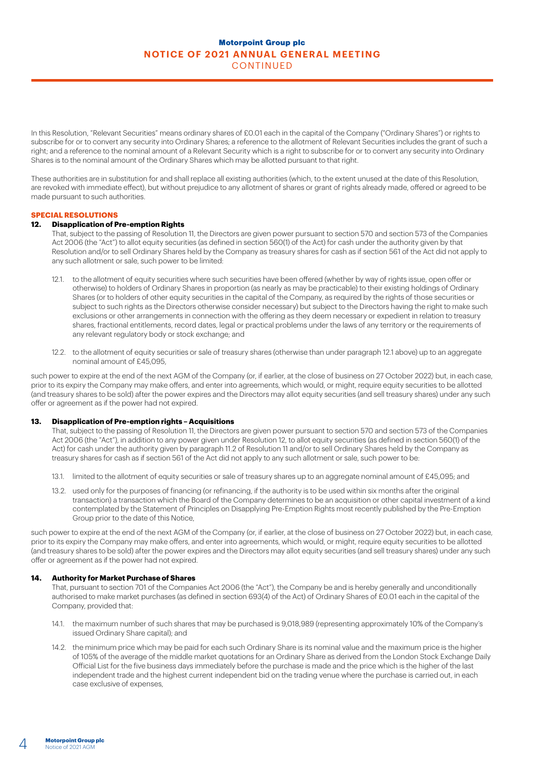# Motorpoint Group plc **NOTICE OF 2021 ANNUAL GENERAL MEETING CONTINUED**

In this Resolution, "Relevant Securities" means ordinary shares of £0.01 each in the capital of the Company ("Ordinary Shares") or rights to subscribe for or to convert any security into Ordinary Shares; a reference to the allotment of Relevant Securities includes the grant of such a right; and a reference to the nominal amount of a Relevant Security which is a right to subscribe for or to convert any security into Ordinary Shares is to the nominal amount of the Ordinary Shares which may be allotted pursuant to that right.

These authorities are in substitution for and shall replace all existing authorities (which, to the extent unused at the date of this Resolution, are revoked with immediate effect), but without prejudice to any allotment of shares or grant of rights already made, offered or agreed to be made pursuant to such authorities.

## **SPECIAL RESOLUTIONS**

# **12. Disapplication of Pre-emption Rights**

 That, subject to the passing of Resolution 11, the Directors are given power pursuant to section 570 and section 573 of the Companies Act 2006 (the "Act") to allot equity securities (as defined in section 560(1) of the Act) for cash under the authority given by that Resolution and/or to sell Ordinary Shares held by the Company as treasury shares for cash as if section 561 of the Act did not apply to any such allotment or sale, such power to be limited:

- 12.1. to the allotment of equity securities where such securities have been offered (whether by way of rights issue, open offer or otherwise) to holders of Ordinary Shares in proportion (as nearly as may be practicable) to their existing holdings of Ordinary Shares (or to holders of other equity securities in the capital of the Company, as required by the rights of those securities or subject to such rights as the Directors otherwise consider necessary) but subject to the Directors having the right to make such exclusions or other arrangements in connection with the offering as they deem necessary or expedient in relation to treasury shares, fractional entitlements, record dates, legal or practical problems under the laws of any territory or the requirements of any relevant regulatory body or stock exchange; and
- 12.2. to the allotment of equity securities or sale of treasury shares (otherwise than under paragraph 12.1 above) up to an aggregate nominal amount of £45,095,

such power to expire at the end of the next AGM of the Company (or, if earlier, at the close of business on 27 October 2022) but, in each case, prior to its expiry the Company may make offers, and enter into agreements, which would, or might, require equity securities to be allotted (and treasury shares to be sold) after the power expires and the Directors may allot equity securities (and sell treasury shares) under any such offer or agreement as if the power had not expired.

### **13. Disapplication of Pre-emption rights – Acquisitions**

That, subject to the passing of Resolution 11, the Directors are given power pursuant to section 570 and section 573 of the Companies Act 2006 (the "Act"), in addition to any power given under Resolution 12, to allot equity securities (as defined in section 560(1) of the Act) for cash under the authority given by paragraph 11.2 of Resolution 11 and/or to sell Ordinary Shares held by the Company as treasury shares for cash as if section 561 of the Act did not apply to any such allotment or sale, such power to be:

- 13.1. limited to the allotment of equity securities or sale of treasury shares up to an aggregate nominal amount of £45,095; and
- 13.2. used only for the purposes of financing (or refinancing, if the authority is to be used within six months after the original transaction) a transaction which the Board of the Company determines to be an acquisition or other capital investment of a kind contemplated by the Statement of Principles on Disapplying Pre-Emption Rights most recently published by the Pre-Emption Group prior to the date of this Notice,

such power to expire at the end of the next AGM of the Company (or, if earlier, at the close of business on 27 October 2022) but, in each case, prior to its expiry the Company may make offers, and enter into agreements, which would, or might, require equity securities to be allotted (and treasury shares to be sold) after the power expires and the Directors may allot equity securities (and sell treasury shares) under any such offer or agreement as if the power had not expired.

### **14. Authority for Market Purchase of Shares**

That, pursuant to section 701 of the Companies Act 2006 (the "Act"), the Company be and is hereby generally and unconditionally authorised to make market purchases (as defined in section 693(4) of the Act) of Ordinary Shares of £0.01 each in the capital of the Company, provided that:

- 14.1. the maximum number of such shares that may be purchased is 9,018,989 (representing approximately 10% of the Company's issued Ordinary Share capital); and
- 14.2. the minimum price which may be paid for each such Ordinary Share is its nominal value and the maximum price is the higher of 105% of the average of the middle market quotations for an Ordinary Share as derived from the London Stock Exchange Daily Official List for the five business days immediately before the purchase is made and the price which is the higher of the last independent trade and the highest current independent bid on the trading venue where the purchase is carried out, in each case exclusive of expenses,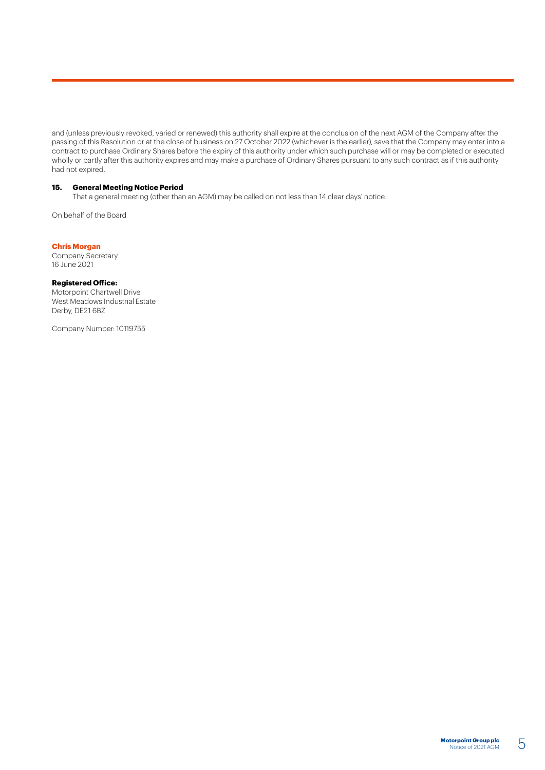and (unless previously revoked, varied or renewed) this authority shall expire at the conclusion of the next AGM of the Company after the passing of this Resolution or at the close of business on 27 October 2022 (whichever is the earlier), save that the Company may enter into a contract to purchase Ordinary Shares before the expiry of this authority under which such purchase will or may be completed or executed wholly or partly after this authority expires and may make a purchase of Ordinary Shares pursuant to any such contract as if this authority had not expired.

# **15. General Meeting Notice Period**

That a general meeting (other than an AGM) may be called on not less than 14 clear days' notice.

On behalf of the Board

### **Chris Morgan**

Company Secretary 16 June 2021

### **Registered Office:**

Motorpoint Chartwell Drive West Meadows Industrial Estate Derby, DE21 6BZ

Company Number: 10119755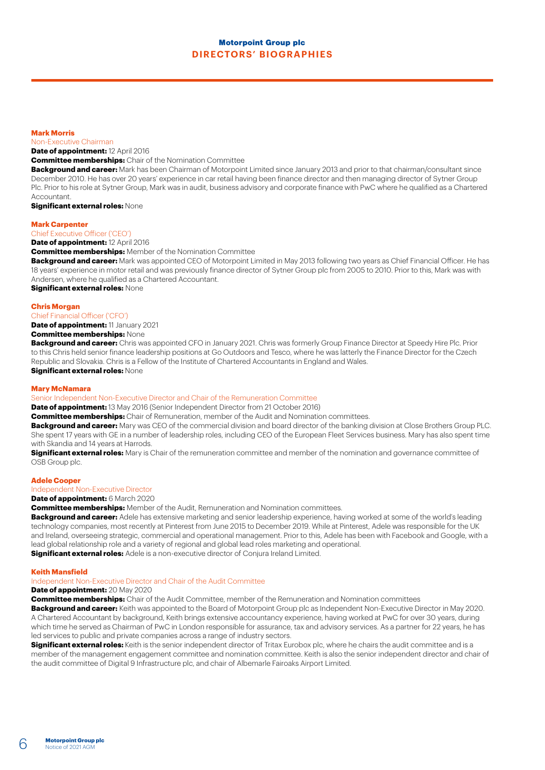# Motorpoint Group plc **DIRECTORS' BIOGRAPHIES**

#### **Mark Morris**

Non-Executive Chairman

#### **Date of appointment:** 12 April 2016 **Committee memberships:** Chair of the Nomination Committee

**Background and career:** Mark has been Chairman of Motorpoint Limited since January 2013 and prior to that chairman/consultant since December 2010. He has over 20 years' experience in car retail having been finance director and then managing director of Sytner Group Plc. Prior to his role at Sytner Group, Mark was in audit, business advisory and corporate finance with PwC where he qualified as a Chartered Accountant.

**Significant external roles:** None

#### **Mark Carpenter**

Chief Executive Officer ('CEO')

**Date of appointment:** 12 April 2016

**Committee memberships:** Member of the Nomination Committee

**Background and career:** Mark was appointed CEO of Motorpoint Limited in May 2013 following two years as Chief Financial Officer. He has 18 years' experience in motor retail and was previously finance director of Sytner Group plc from 2005 to 2010. Prior to this, Mark was with Andersen, where he qualified as a Chartered Accountant.

**Significant external roles:** None

#### **Chris Morgan**

Chief Financial Officer ('CFO')

**Date of appointment:** 11 January 2021

### **Committee memberships:** None

**Background and career:** Chris was appointed CFO in January 2021. Chris was formerly Group Finance Director at Speedy Hire Plc. Prior to this Chris held senior finance leadership positions at Go Outdoors and Tesco, where he was latterly the Finance Director for the Czech Republic and Slovakia. Chris is a Fellow of the Institute of Chartered Accountants in England and Wales. **Significant external roles:** None

#### **Mary McNamara**

Senior Independent Non-Executive Director and Chair of the Remuneration Committee

**Date of appointment:** 13 May 2016 (Senior Independent Director from 21 October 2016)

**Committee memberships:** Chair of Remuneration, member of the Audit and Nomination committees.

**Background and career:** Mary was CEO of the commercial division and board director of the banking division at Close Brothers Group PLC. She spent 17 years with GE in a number of leadership roles, including CEO of the European Fleet Services business. Mary has also spent time with Skandia and 14 years at Harrods.

**Significant external roles:** Mary is Chair of the remuneration committee and member of the nomination and governance committee of OSB Group plc.

#### **Adele Cooper**

Independent Non-Executive Director

### **Date of appointment:** 6 March 2020

**Committee memberships:** Member of the Audit, Remuneration and Nomination committees.

**Background and career:** Adele has extensive marketing and senior leadership experience, having worked at some of the world's leading technology companies, most recently at Pinterest from June 2015 to December 2019. While at Pinterest, Adele was responsible for the UK and Ireland, overseeing strategic, commercial and operational management. Prior to this, Adele has been with Facebook and Google, with a lead global relationship role and a variety of regional and global lead roles marketing and operational. **Significant external roles:** Adele is a non-executive director of Conjura Ireland Limited.

#### **Keith Mansfield**

Independent Non-Executive Director and Chair of the Audit Committee

#### **Date of appointment:** 20 May 2020

**Committee memberships:** Chair of the Audit Committee, member of the Remuneration and Nomination committees

**Background and career:** Keith was appointed to the Board of Motorpoint Group plc as Independent Non-Executive Director in May 2020. A Chartered Accountant by background, Keith brings extensive accountancy experience, having worked at PwC for over 30 years, during which time he served as Chairman of PwC in London responsible for assurance, tax and advisory services. As a partner for 22 years, he has led services to public and private companies across a range of industry sectors.

**Significant external roles:** Keith is the senior independent director of Tritax Eurobox plc, where he chairs the audit committee and is a member of the management engagement committee and nomination committee. Keith is also the senior independent director and chair of the audit committee of Digital 9 Infrastructure plc, and chair of Albemarle Fairoaks Airport Limited.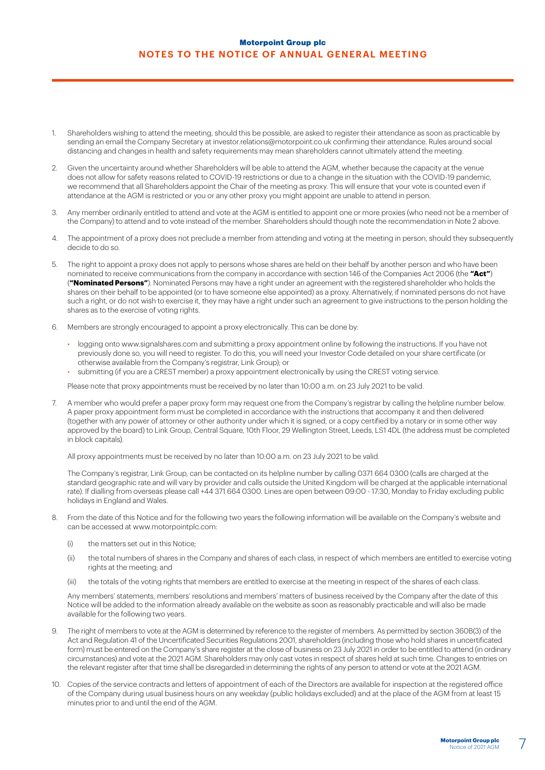# Motorpoint Group plc **NOTES TO THE NOTICE OF ANNUAL GENERAL MEETING**

- 1. Shareholders wishing to attend the meeting, should this be possible, are asked to register their attendance as soon as practicable by sending an email the Company Secretary at investor.relations@motorpoint.co.uk confirming their attendance. Rules around social distancing and changes in health and safety requirements may mean shareholders cannot ultimately attend the meeting.
- 2. Given the uncertainty around whether Shareholders will be able to attend the AGM, whether because the capacity at the venue does not allow for safety reasons related to COVID-19 restrictions or due to a change in the situation with the COVID-19 pandemic, we recommend that all Shareholders appoint the Chair of the meeting as proxy. This will ensure that your vote is counted even if attendance at the AGM is restricted or you or any other proxy you might appoint are unable to attend in person.
- 3. Any member ordinarily entitled to attend and vote at the AGM is entitled to appoint one or more proxies (who need not be a member of the Company) to attend and to vote instead of the member. Shareholders should though note the recommendation in Note 2 above.
- 4. The appointment of a proxy does not preclude a member from attending and voting at the meeting in person, should they subsequently decide to do so.
- 5. The right to appoint a proxy does not apply to persons whose shares are held on their behalf by another person and who have been nominated to receive communications from the company in accordance with section 146 of the Companies Act 2006 (the **"Act"**) (**"Nominated Persons"**). Nominated Persons may have a right under an agreement with the registered shareholder who holds the shares on their behalf to be appointed (or to have someone else appointed) as a proxy. Alternatively, if nominated persons do not have such a right, or do not wish to exercise it, they may have a right under such an agreement to give instructions to the person holding the shares as to the exercise of voting rights.
- 6. Members are strongly encouraged to appoint a proxy electronically. This can be done by:
	- logging onto www.signalshares.com and submitting a proxy appointment online by following the instructions. If you have not previously done so, you will need to register. To do this, you will need your Investor Code detailed on your share certificate (or otherwise available from the Company's registrar, Link Group); or
	- submitting (if you are a CREST member) a proxy appointment electronically by using the CREST voting service.

Please note that proxy appointments must be received by no later than 10:00 a.m. on 23 July 2021 to be valid.

7. A member who would prefer a paper proxy form may request one from the Company's registrar by calling the helpline number below. A paper proxy appointment form must be completed in accordance with the instructions that accompany it and then delivered (together with any power of attorney or other authority under which it is signed, or a copy certified by a notary or in some other way approved by the board) to Link Group, Central Square, 10th Floor, 29 Wellington Street, Leeds, LS1 4DL (the address must be completed in block capitals).

All proxy appointments must be received by no later than 10:00 a.m. on 23 July 2021 to be valid.

The Company's registrar, Link Group, can be contacted on its helpline number by calling 0371 664 0300 (calls are charged at the standard geographic rate and will vary by provider and calls outside the United Kingdom will be charged at the applicable international rate). If dialling from overseas please call +44 371 664 0300. Lines are open between 09:00 - 17:30, Monday to Friday excluding public holidays in England and Wales.

- 8. From the date of this Notice and for the following two years the following information will be available on the Company's website and can be accessed at www.motorpointplc.com:
	- (i) the matters set out in this Notice;
	- (ii) the total numbers of shares in the Company and shares of each class, in respect of which members are entitled to exercise voting rights at the meeting; and
	- (iii) the totals of the voting rights that members are entitled to exercise at the meeting in respect of the shares of each class.

Any members' statements, members' resolutions and members' matters of business received by the Company after the date of this Notice will be added to the information already available on the website as soon as reasonably practicable and will also be made available for the following two years.

- 9. The right of members to vote at the AGM is determined by reference to the register of members. As permitted by section 360B(3) of the Act and Regulation 41 of the Uncertificated Securities Regulations 2001, shareholders (including those who hold shares in uncertificated form) must be entered on the Company's share register at the close of business on 23 July 2021 in order to be entitled to attend (in ordinary circumstances) and vote at the 2021 AGM. Shareholders may only cast votes in respect of shares held at such time. Changes to entries on the relevant register after that time shall be disregarded in determining the rights of any person to attend or vote at the 2021 AGM.
- 10. Copies of the service contracts and letters of appointment of each of the Directors are available for inspection at the registered office of the Company during usual business hours on any weekday (public holidays excluded) and at the place of the AGM from at least 15 minutes prior to and until the end of the AGM.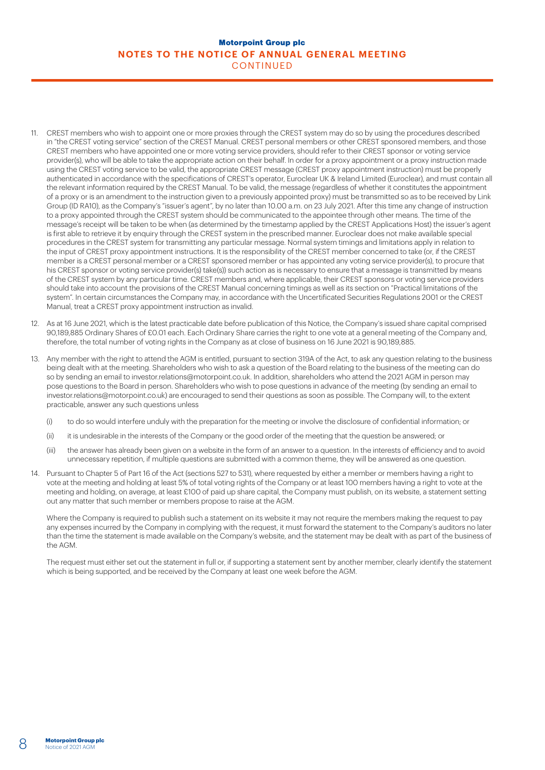# Motorpoint Group plc **NOTES TO THE NOTICE OF ANNUAL GENERAL MEETING CONTINUED**

- 11. CREST members who wish to appoint one or more proxies through the CREST system may do so by using the procedures described in "the CREST voting service" section of the CREST Manual. CREST personal members or other CREST sponsored members, and those CREST members who have appointed one or more voting service providers, should refer to their CREST sponsor or voting service provider(s), who will be able to take the appropriate action on their behalf. In order for a proxy appointment or a proxy instruction made using the CREST voting service to be valid, the appropriate CREST message (CREST proxy appointment instruction) must be properly authenticated in accordance with the specifications of CREST's operator, Euroclear UK & Ireland Limited (Euroclear), and must contain all the relevant information required by the CREST Manual. To be valid, the message (regardless of whether it constitutes the appointment of a proxy or is an amendment to the instruction given to a previously appointed proxy) must be transmitted so as to be received by Link Group (ID RA10), as the Company's "issuer's agent", by no later than 10.00 a.m. on 23 July 2021. After this time any change of instruction to a proxy appointed through the CREST system should be communicated to the appointee through other means. The time of the message's receipt will be taken to be when (as determined by the timestamp applied by the CREST Applications Host) the issuer's agent is first able to retrieve it by enquiry through the CREST system in the prescribed manner. Euroclear does not make available special procedures in the CREST system for transmitting any particular message. Normal system timings and limitations apply in relation to the input of CREST proxy appointment instructions. It is the responsibility of the CREST member concerned to take (or, if the CREST member is a CREST personal member or a CREST sponsored member or has appointed any voting service provider(s), to procure that his CREST sponsor or voting service provider(s) take(s)) such action as is necessary to ensure that a message is transmitted by means of the CREST system by any particular time. CREST members and, where applicable, their CREST sponsors or voting service providers should take into account the provisions of the CREST Manual concerning timings as well as its section on "Practical limitations of the system". In certain circumstances the Company may, in accordance with the Uncertificated Securities Regulations 2001 or the CREST Manual, treat a CREST proxy appointment instruction as invalid.
- 12. As at 16 June 2021, which is the latest practicable date before publication of this Notice, the Company's issued share capital comprised 90,189,885 Ordinary Shares of £0.01 each. Each Ordinary Share carries the right to one vote at a general meeting of the Company and, therefore, the total number of voting rights in the Company as at close of business on 16 June 2021 is 90,189,885.
- 13. Any member with the right to attend the AGM is entitled, pursuant to section 319A of the Act, to ask any question relating to the business being dealt with at the meeting. Shareholders who wish to ask a question of the Board relating to the business of the meeting can do so by sending an email to investor.relations@motorpoint.co.uk. In addition, shareholders who attend the 2021 AGM in person may pose questions to the Board in person. Shareholders who wish to pose questions in advance of the meeting (by sending an email to investor.relations@motorpoint.co.uk) are encouraged to send their questions as soon as possible. The Company will, to the extent practicable, answer any such questions unless
	- (i) to do so would interfere unduly with the preparation for the meeting or involve the disclosure of confidential information; or
	- (ii) it is undesirable in the interests of the Company or the good order of the meeting that the question be answered; or
	- (iii) the answer has already been given on a website in the form of an answer to a question. In the interests of efficiency and to avoid unnecessary repetition, if multiple questions are submitted with a common theme, they will be answered as one question.
- 14. Pursuant to Chapter 5 of Part 16 of the Act (sections 527 to 531), where requested by either a member or members having a right to vote at the meeting and holding at least 5% of total voting rights of the Company or at least 100 members having a right to vote at the meeting and holding, on average, at least £100 of paid up share capital, the Company must publish, on its website, a statement setting out any matter that such member or members propose to raise at the AGM.

Where the Company is required to publish such a statement on its website it may not require the members making the request to pay any expenses incurred by the Company in complying with the request, it must forward the statement to the Company's auditors no later than the time the statement is made available on the Company's website, and the statement may be dealt with as part of the business of the AGM.

The request must either set out the statement in full or, if supporting a statement sent by another member, clearly identify the statement which is being supported, and be received by the Company at least one week before the AGM.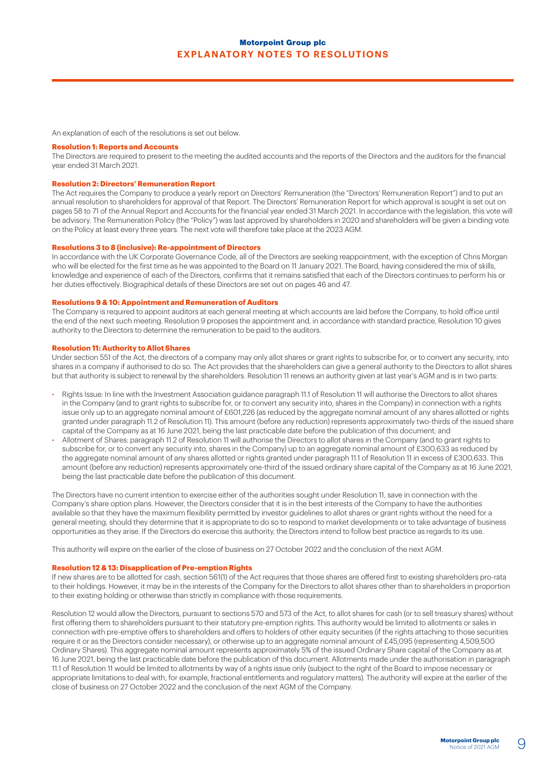# Motorpoint Group plc **EXPLANATORY NOTES TO RESOLUTIONS**

An explanation of each of the resolutions is set out below.

### **Resolution 1: Reports and Accounts**

The Directors are required to present to the meeting the audited accounts and the reports of the Directors and the auditors for the financial year ended 31 March 2021.

### **Resolution 2: Directors' Remuneration Report**

The Act requires the Company to produce a yearly report on Directors' Remuneration (the "Directors' Remuneration Report") and to put an annual resolution to shareholders for approval of that Report. The Directors' Remuneration Report for which approval is sought is set out on pages 58 to 71 of the Annual Report and Accounts for the financial year ended 31 March 2021. In accordance with the legislation, this vote will be advisory. The Remuneration Policy (the "Policy") was last approved by shareholders in 2020 and shareholders will be given a binding vote on the Policy at least every three years. The next vote will therefore take place at the 2023 AGM.

### **Resolutions 3 to 8 (inclusive): Re-appointment of Directors**

In accordance with the UK Corporate Governance Code, all of the Directors are seeking reappointment, with the exception of Chris Morgan who will be elected for the first time as he was appointed to the Board on 11 January 2021. The Board, having considered the mix of skills, knowledge and experience of each of the Directors, confirms that it remains satisfied that each of the Directors continues to perform his or her duties effectively. Biographical details of these Directors are set out on pages 46 and 47.

#### **Resolutions 9 & 10: Appointment and Remuneration of Auditors**

The Company is required to appoint auditors at each general meeting at which accounts are laid before the Company, to hold office until the end of the next such meeting. Resolution 9 proposes the appointment and, in accordance with standard practice, Resolution 10 gives authority to the Directors to determine the remuneration to be paid to the auditors.

#### **Resolution 11: Authority to Allot Shares**

Under section 551 of the Act, the directors of a company may only allot shares or grant rights to subscribe for, or to convert any security, into shares in a company if authorised to do so. The Act provides that the shareholders can give a general authority to the Directors to allot shares but that authority is subject to renewal by the shareholders. Resolution 11 renews an authority given at last year's AGM and is in two parts:

- Rights Issue: In line with the Investment Association guidance paragraph 11.1 of Resolution 11 will authorise the Directors to allot shares in the Company (and to grant rights to subscribe for, or to convert any security into, shares in the Company) in connection with a rights issue only up to an aggregate nominal amount of £601,226 (as reduced by the aggregate nominal amount of any shares allotted or rights granted under paragraph 11.2 of Resolution 11). This amount (before any reduction) represents approximately two-thirds of the issued share capital of the Company as at 16 June 2021, being the last practicable date before the publication of this document; and
- Allotment of Shares: paragraph 11.2 of Resolution 11 will authorise the Directors to allot shares in the Company (and to grant rights to subscribe for, or to convert any security into, shares in the Company) up to an aggregate nominal amount of £300,633 as reduced by the aggregate nominal amount of any shares allotted or rights granted under paragraph 11.1 of Resolution 11 in excess of £300,633. This amount (before any reduction) represents approximately one-third of the issued ordinary share capital of the Company as at 16 June 2021, being the last practicable date before the publication of this document.

The Directors have no current intention to exercise either of the authorities sought under Resolution 11, save in connection with the Company's share option plans. However, the Directors consider that it is in the best interests of the Company to have the authorities available so that they have the maximum flexibility permitted by investor guidelines to allot shares or grant rights without the need for a general meeting, should they determine that it is appropriate to do so to respond to market developments or to take advantage of business opportunities as they arise. If the Directors do exercise this authority, the Directors intend to follow best practice as regards to its use.

This authority will expire on the earlier of the close of business on 27 October 2022 and the conclusion of the next AGM.

### **Resolution 12 & 13: Disapplication of Pre-emption Rights**

If new shares are to be allotted for cash, section 561(1) of the Act requires that those shares are offered first to existing shareholders pro-rata to their holdings. However, it may be in the interests of the Company for the Directors to allot shares other than to shareholders in proportion to their existing holding or otherwise than strictly in compliance with those requirements.

Resolution 12 would allow the Directors, pursuant to sections 570 and 573 of the Act, to allot shares for cash (or to sell treasury shares) without first offering them to shareholders pursuant to their statutory pre-emption rights. This authority would be limited to allotments or sales in connection with pre-emptive offers to shareholders and offers to holders of other equity securities (if the rights attaching to those securities require it or as the Directors consider necessary), or otherwise up to an aggregate nominal amount of £45,095 (representing 4,509,500 Ordinary Shares). This aggregate nominal amount represents approximately 5% of the issued Ordinary Share capital of the Company as at 16 June 2021, being the last practicable date before the publication of this document. Allotments made under the authorisation in paragraph 11.1 of Resolution 11 would be limited to allotments by way of a rights issue only (subject to the right of the Board to impose necessary or appropriate limitations to deal with, for example, fractional entitlements and regulatory matters). The authority will expire at the earlier of the close of business on 27 October 2022 and the conclusion of the next AGM of the Company.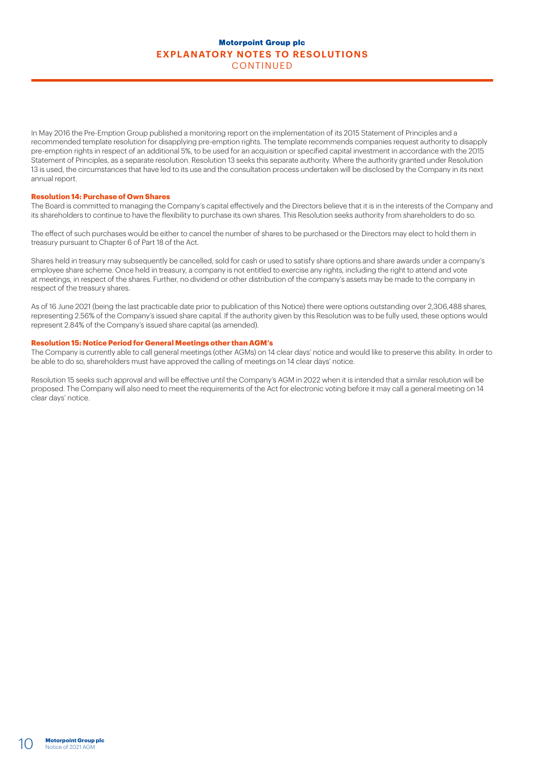# Motorpoint Group plc **EXPLANATORY NOTES TO RESOLUTIONS CONTINUED**

In May 2016 the Pre-Emption Group published a monitoring report on the implementation of its 2015 Statement of Principles and a recommended template resolution for disapplying pre-emption rights. The template recommends companies request authority to disapply pre-emption rights in respect of an additional 5%, to be used for an acquisition or specified capital investment in accordance with the 2015 Statement of Principles, as a separate resolution. Resolution 13 seeks this separate authority. Where the authority granted under Resolution 13 is used, the circumstances that have led to its use and the consultation process undertaken will be disclosed by the Company in its next annual report.

### **Resolution 14: Purchase of Own Shares**

The Board is committed to managing the Company's capital effectively and the Directors believe that it is in the interests of the Company and its shareholders to continue to have the flexibility to purchase its own shares. This Resolution seeks authority from shareholders to do so.

The effect of such purchases would be either to cancel the number of shares to be purchased or the Directors may elect to hold them in treasury pursuant to Chapter 6 of Part 18 of the Act.

Shares held in treasury may subsequently be cancelled, sold for cash or used to satisfy share options and share awards under a company's employee share scheme. Once held in treasury, a company is not entitled to exercise any rights, including the right to attend and vote at meetings, in respect of the shares. Further, no dividend or other distribution of the company's assets may be made to the company in respect of the treasury shares.

As of 16 June 2021 (being the last practicable date prior to publication of this Notice) there were options outstanding over 2,306,488 shares, representing 2.56% of the Company's issued share capital. If the authority given by this Resolution was to be fully used, these options would represent 2.84% of the Company's issued share capital (as amended).

#### **Resolution 15: Notice Period for General Meetings other than AGM's**

The Company is currently able to call general meetings (other AGMs) on 14 clear days' notice and would like to preserve this ability. In order to be able to do so, shareholders must have approved the calling of meetings on 14 clear days' notice.

Resolution 15 seeks such approval and will be effective until the Company's AGM in 2022 when it is intended that a similar resolution will be proposed. The Company will also need to meet the requirements of the Act for electronic voting before it may call a general meeting on 14 clear days' notice.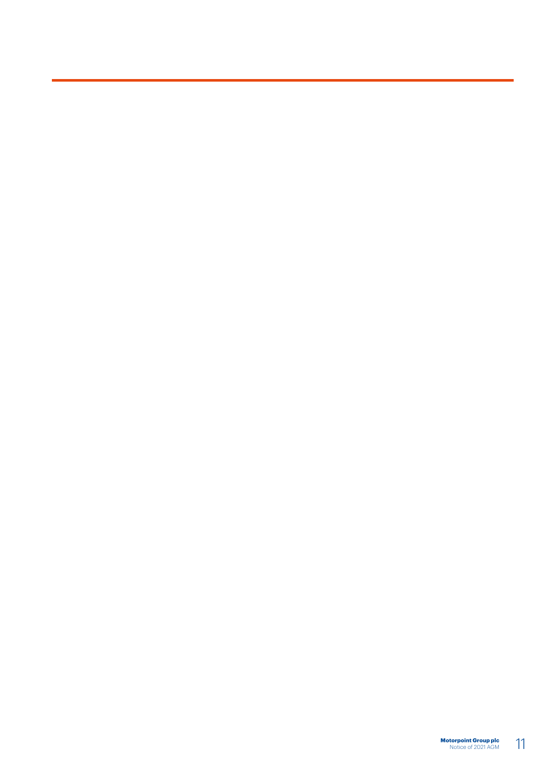**Motorpoint Group plc**<br>
Notice of 2021 AGM 11